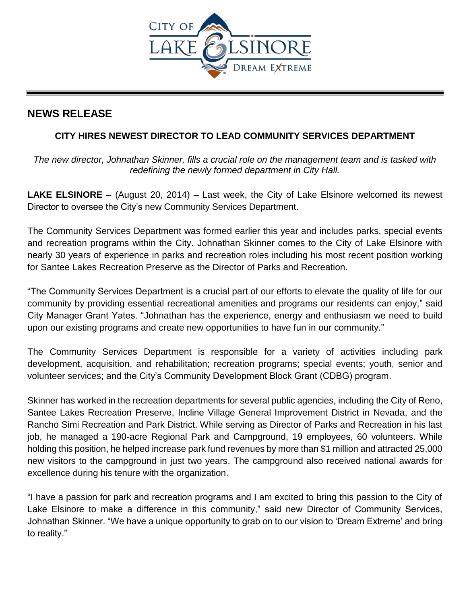

## **NEWS RELEASE**

## **CITY HIRES NEWEST DIRECTOR TO LEAD COMMUNITY SERVICES DEPARTMENT**

*The new director, Johnathan Skinner, fills a crucial role on the management team and is tasked with redefining the newly formed department in City Hall.* 

**LAKE ELSINORE** – (August 20, 2014) – Last week, the City of Lake Elsinore welcomed its newest Director to oversee the City's new Community Services Department.

The Community Services Department was formed earlier this year and includes parks, special events and recreation programs within the City. Johnathan Skinner comes to the City of Lake Elsinore with nearly 30 years of experience in parks and recreation roles including his most recent position working for Santee Lakes Recreation Preserve as the Director of Parks and Recreation.

"The Community Services Department is a crucial part of our efforts to elevate the quality of life for our community by providing essential recreational amenities and programs our residents can enjoy," said City Manager Grant Yates. "Johnathan has the experience, energy and enthusiasm we need to build upon our existing programs and create new opportunities to have fun in our community."

The Community Services Department is responsible for a variety of activities including park development, acquisition, and rehabilitation; recreation programs; special events; youth, senior and volunteer services; and the City's Community Development Block Grant (CDBG) program.

Skinner has worked in the recreation departments for several public agencies, including the City of Reno, Santee Lakes Recreation Preserve, Incline Village General Improvement District in Nevada, and the Rancho Simi Recreation and Park District. While serving as Director of Parks and Recreation in his last job, he managed a 190-acre Regional Park and Campground, 19 employees, 60 volunteers. While holding this position, he helped increase park fund revenues by more than \$1 million and attracted 25,000 new visitors to the campground in just two years. The campground also received national awards for excellence during his tenure with the organization.

"I have a passion for park and recreation programs and I am excited to bring this passion to the City of Lake Elsinore to make a difference in this community," said new Director of Community Services, Johnathan Skinner. "We have a unique opportunity to grab on to our vision to 'Dream Extreme' and bring to reality."